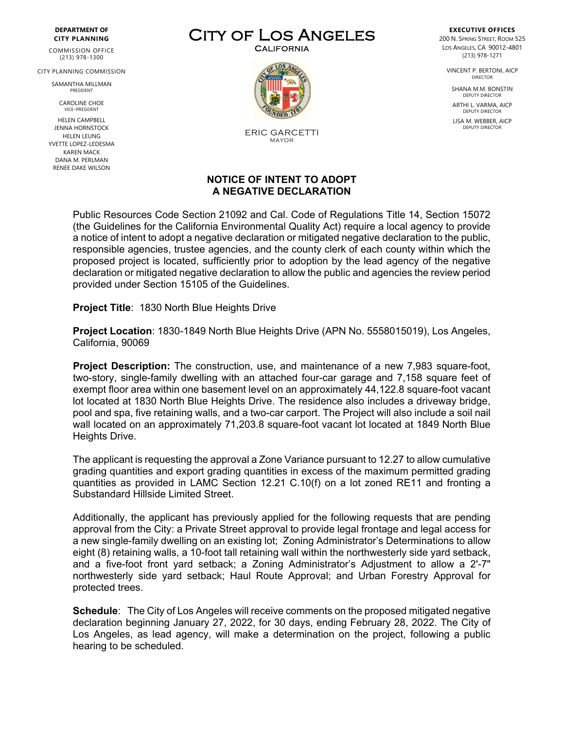## **DEPARTMENT OF CITY PLANNING**

COMMISSION OFFICE (213) 978-1300

CITY PLANNING COMMISSION

SAMANTHA MILLMAN PRESIDENT

> CAROLINE CHOE VICE-PRESIDENT

HELEN CAMPBELL JENNA HORNSTOCK HELEN LEUNG YVETTE LOPEZ-LEDESMA KAREN MACK DANA M. PERLMAN RENEE DAKE WILSON

CITY OF LOS ANGELES



ERIC GARCETTI MAYOR

## **NOTICE OF INTENT TO ADOPT A NEGATIVE DECLARATION**

Public Resources Code Section 21092 and Cal. Code of Regulations Title 14, Section 15072 (the Guidelines for the California Environmental Quality Act) require a local agency to provide a notice of intent to adopt a negative declaration or mitigated negative declaration to the public, responsible agencies, trustee agencies, and the county clerk of each county within which the proposed project is located, sufficiently prior to adoption by the lead agency of the negative declaration or mitigated negative declaration to allow the public and agencies the review period provided under Section 15105 of the Guidelines.

**Project Title**: 1830 North Blue Heights Drive

**Project Location**: 1830-1849 North Blue Heights Drive (APN No. 5558015019), Los Angeles, California, 90069

**Project Description:** The construction, use, and maintenance of a new 7,983 square-foot, two-story, single-family dwelling with an attached four-car garage and 7,158 square feet of exempt floor area within one basement level on an approximately 44,122.8 square-foot vacant lot located at 1830 North Blue Heights Drive. The residence also includes a driveway bridge, pool and spa, five retaining walls, and a two-car carport. The Project will also include a soil nail wall located on an approximately 71,203.8 square-foot vacant lot located at 1849 North Blue Heights Drive.

The applicant is requesting the approval a Zone Variance pursuant to 12.27 to allow cumulative grading quantities and export grading quantities in excess of the maximum permitted grading quantities as provided in LAMC Section 12.21 C.10(f) on a lot zoned RE11 and fronting a Substandard Hillside Limited Street.

Additionally, the applicant has previously applied for the following requests that are pending approval from the City: a Private Street approval to provide legal frontage and legal access for a new single-family dwelling on an existing lot; Zoning Administrator's Determinations to allow eight (8) retaining walls, a 10-foot tall retaining wall within the northwesterly side yard setback, and a five-foot front yard setback; a Zoning Administrator's Adjustment to allow a 2'-7" northwesterly side yard setback; Haul Route Approval; and Urban Forestry Approval for protected trees.

**Schedule**: The City of Los Angeles will receive comments on the proposed mitigated negative declaration beginning January 27, 2022, for 30 days, ending February 28, 2022. The City of Los Angeles, as lead agency, will make a determination on the project, following a public hearing to be scheduled.

**EXECUTIVE OFFICES** 200 N. SPRING STREET, ROOM 525

LOS ANGELES, CA 90012-4801 (213) 978-1271

VINCENT P. BERTONI, AICP DIRECTOR

SHANA M.M. BONSTIN DEPUTY DIRECTO

ARTHI L. VARMA, AICP DEPUTY DIRECTOR

LISA M. WEBBER, AICP DEPUTY DIRECTOR